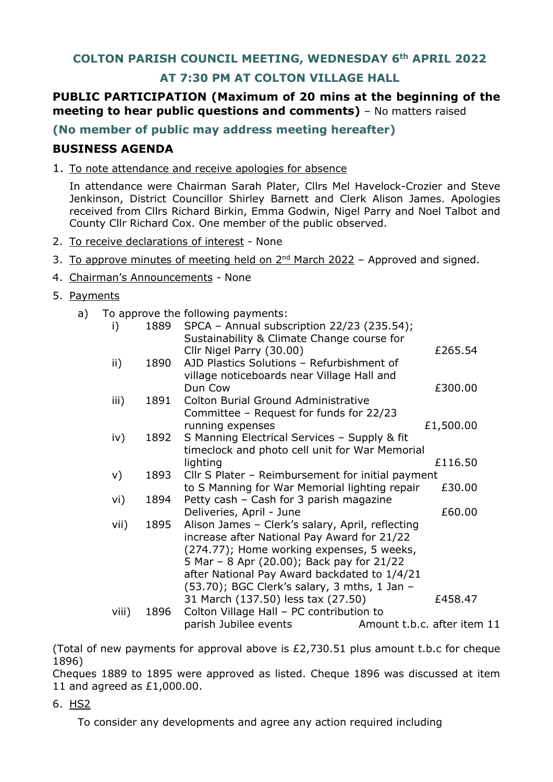# **COLTON PARISH COUNCIL MEETING, WEDNESDAY 6th APRIL 2022**

# **AT 7:30 PM AT COLTON VILLAGE HALL**

# **PUBLIC PARTICIPATION (Maximum of 20 mins at the beginning of the meeting to hear public questions and comments)** - No matters raised

## **(No member of public may address meeting hereafter)**

## **BUSINESS AGENDA**

1. To note attendance and receive apologies for absence

In attendance were Chairman Sarah Plater, Cllrs Mel Havelock-Crozier and Steve Jenkinson, District Councillor Shirley Barnett and Clerk Alison James. Apologies received from Cllrs Richard Birkin, Emma Godwin, Nigel Parry and Noel Talbot and County Cllr Richard Cox. One member of the public observed.

- 2. To receive declarations of interest None
- 3. To approve minutes of meeting held on  $2^{nd}$  March 2022 Approved and signed.
- 4. Chairman's Announcements None
- 5. Payments
	- a) To approve the following payments:

| 1889 | SPCA - Annual subscription 22/23 (235.54);        |                                                                                                                                                                                                                                                                                                                                                                                                                                                                                                                                                                                                                                                                          |
|------|---------------------------------------------------|--------------------------------------------------------------------------------------------------------------------------------------------------------------------------------------------------------------------------------------------------------------------------------------------------------------------------------------------------------------------------------------------------------------------------------------------------------------------------------------------------------------------------------------------------------------------------------------------------------------------------------------------------------------------------|
|      |                                                   | £265.54                                                                                                                                                                                                                                                                                                                                                                                                                                                                                                                                                                                                                                                                  |
| 1890 | AJD Plastics Solutions - Refurbishment of         |                                                                                                                                                                                                                                                                                                                                                                                                                                                                                                                                                                                                                                                                          |
|      | village noticeboards near Village Hall and        |                                                                                                                                                                                                                                                                                                                                                                                                                                                                                                                                                                                                                                                                          |
|      | Dun Cow                                           | £300.00                                                                                                                                                                                                                                                                                                                                                                                                                                                                                                                                                                                                                                                                  |
|      |                                                   |                                                                                                                                                                                                                                                                                                                                                                                                                                                                                                                                                                                                                                                                          |
|      |                                                   |                                                                                                                                                                                                                                                                                                                                                                                                                                                                                                                                                                                                                                                                          |
|      |                                                   | £1,500.00                                                                                                                                                                                                                                                                                                                                                                                                                                                                                                                                                                                                                                                                |
|      |                                                   |                                                                                                                                                                                                                                                                                                                                                                                                                                                                                                                                                                                                                                                                          |
|      |                                                   | £116.50                                                                                                                                                                                                                                                                                                                                                                                                                                                                                                                                                                                                                                                                  |
| 1893 | Cllr S Plater - Reimbursement for initial payment |                                                                                                                                                                                                                                                                                                                                                                                                                                                                                                                                                                                                                                                                          |
|      | to S Manning for War Memorial lighting repair     | £30.00                                                                                                                                                                                                                                                                                                                                                                                                                                                                                                                                                                                                                                                                   |
|      |                                                   |                                                                                                                                                                                                                                                                                                                                                                                                                                                                                                                                                                                                                                                                          |
|      |                                                   | £60.00                                                                                                                                                                                                                                                                                                                                                                                                                                                                                                                                                                                                                                                                   |
|      |                                                   |                                                                                                                                                                                                                                                                                                                                                                                                                                                                                                                                                                                                                                                                          |
|      |                                                   |                                                                                                                                                                                                                                                                                                                                                                                                                                                                                                                                                                                                                                                                          |
|      |                                                   |                                                                                                                                                                                                                                                                                                                                                                                                                                                                                                                                                                                                                                                                          |
|      |                                                   |                                                                                                                                                                                                                                                                                                                                                                                                                                                                                                                                                                                                                                                                          |
|      |                                                   |                                                                                                                                                                                                                                                                                                                                                                                                                                                                                                                                                                                                                                                                          |
|      | 31 March (137.50) less tax (27.50)                | £458.47                                                                                                                                                                                                                                                                                                                                                                                                                                                                                                                                                                                                                                                                  |
| 1896 | Colton Village Hall - PC contribution to          |                                                                                                                                                                                                                                                                                                                                                                                                                                                                                                                                                                                                                                                                          |
|      | parish Jubilee events                             | Amount t.b.c. after item 11                                                                                                                                                                                                                                                                                                                                                                                                                                                                                                                                                                                                                                              |
|      | 1891<br>1892<br>1894<br>1895                      | Sustainability & Climate Change course for<br>Cllr Nigel Parry (30.00)<br><b>Colton Burial Ground Administrative</b><br>Committee - Request for funds for 22/23<br>running expenses<br>S Manning Electrical Services - Supply & fit<br>timeclock and photo cell unit for War Memorial<br>lighting<br>Petty cash - Cash for 3 parish magazine<br>Deliveries, April - June<br>Alison James - Clerk's salary, April, reflecting<br>increase after National Pay Award for 21/22<br>(274.77); Home working expenses, 5 weeks,<br>5 Mar - 8 Apr (20.00); Back pay for 21/22<br>after National Pay Award backdated to 1/4/21<br>$(53.70)$ ; BGC Clerk's salary, 3 mths, 1 Jan - |

(Total of new payments for approval above is  $£2,730.51$  plus amount t.b.c for cheque 1896)

Cheques 1889 to 1895 were approved as listed. Cheque 1896 was discussed at item 11 and agreed as £1,000.00.

6. HS2

To consider any developments and agree any action required including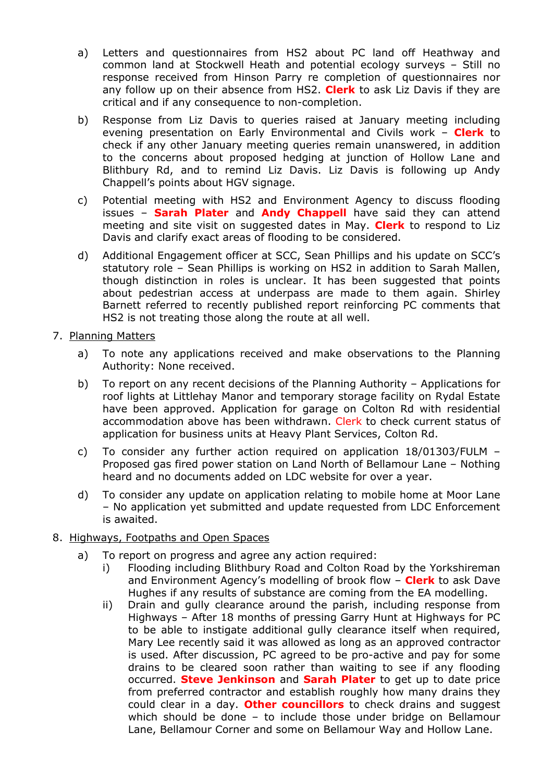- a) Letters and questionnaires from HS2 about PC land off Heathway and common land at Stockwell Heath and potential ecology surveys – Still no response received from Hinson Parry re completion of questionnaires nor any follow up on their absence from HS2. **Clerk** to ask Liz Davis if they are critical and if any consequence to non-completion.
- b) Response from Liz Davis to queries raised at January meeting including evening presentation on Early Environmental and Civils work – **Clerk** to check if any other January meeting queries remain unanswered, in addition to the concerns about proposed hedging at junction of Hollow Lane and Blithbury Rd, and to remind Liz Davis. Liz Davis is following up Andy Chappell's points about HGV signage.
- c) Potential meeting with HS2 and Environment Agency to discuss flooding issues – **Sarah Plater** and **Andy Chappell** have said they can attend meeting and site visit on suggested dates in May. **Clerk** to respond to Liz Davis and clarify exact areas of flooding to be considered.
- d) Additional Engagement officer at SCC, Sean Phillips and his update on SCC's statutory role – Sean Phillips is working on HS2 in addition to Sarah Mallen, though distinction in roles is unclear. It has been suggested that points about pedestrian access at underpass are made to them again. Shirley Barnett referred to recently published report reinforcing PC comments that HS2 is not treating those along the route at all well.
- 7. Planning Matters
	- a) To note any applications received and make observations to the Planning Authority: None received.
	- b) To report on any recent decisions of the Planning Authority Applications for roof lights at Littlehay Manor and temporary storage facility on Rydal Estate have been approved. Application for garage on Colton Rd with residential accommodation above has been withdrawn. Clerk to check current status of application for business units at Heavy Plant Services, Colton Rd.
	- c) To consider any further action required on application 18/01303/FULM Proposed gas fired power station on Land North of Bellamour Lane – Nothing heard and no documents added on LDC website for over a year.
	- d) To consider any update on application relating to mobile home at Moor Lane – No application yet submitted and update requested from LDC Enforcement is awaited.
- 8. Highways, Footpaths and Open Spaces
	- a) To report on progress and agree any action required:
		- i) Flooding including Blithbury Road and Colton Road by the Yorkshireman and Environment Agency's modelling of brook flow – **Clerk** to ask Dave Hughes if any results of substance are coming from the EA modelling.
		- ii) Drain and gully clearance around the parish, including response from Highways – After 18 months of pressing Garry Hunt at Highways for PC to be able to instigate additional gully clearance itself when required, Mary Lee recently said it was allowed as long as an approved contractor is used. After discussion, PC agreed to be pro-active and pay for some drains to be cleared soon rather than waiting to see if any flooding occurred. **Steve Jenkinson** and **Sarah Plater** to get up to date price from preferred contractor and establish roughly how many drains they could clear in a day. **Other councillors** to check drains and suggest which should be done – to include those under bridge on Bellamour Lane, Bellamour Corner and some on Bellamour Way and Hollow Lane.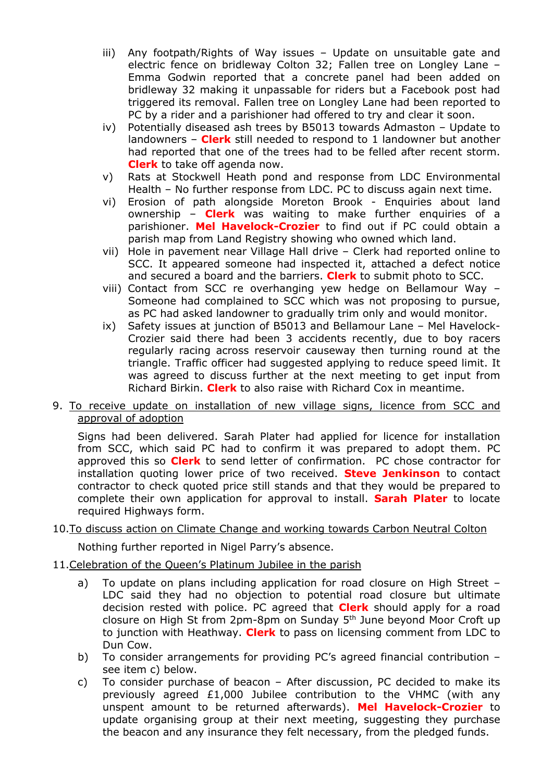- iii) Any footpath/Rights of Way issues Update on unsuitable gate and electric fence on bridleway Colton 32; Fallen tree on Longley Lane – Emma Godwin reported that a concrete panel had been added on bridleway 32 making it unpassable for riders but a Facebook post had triggered its removal. Fallen tree on Longley Lane had been reported to PC by a rider and a parishioner had offered to try and clear it soon.
- iv) Potentially diseased ash trees by B5013 towards Admaston Update to landowners – **Clerk** still needed to respond to 1 landowner but another had reported that one of the trees had to be felled after recent storm. **Clerk** to take off agenda now.
- v) Rats at Stockwell Heath pond and response from LDC Environmental Health – No further response from LDC. PC to discuss again next time.
- vi) Erosion of path alongside Moreton Brook Enquiries about land ownership – **Clerk** was waiting to make further enquiries of a parishioner. **Mel Havelock-Crozier** to find out if PC could obtain a parish map from Land Registry showing who owned which land.
- vii) Hole in pavement near Village Hall drive Clerk had reported online to SCC. It appeared someone had inspected it, attached a defect notice and secured a board and the barriers. **Clerk** to submit photo to SCC.
- viii) Contact from SCC re overhanging yew hedge on Bellamour Way Someone had complained to SCC which was not proposing to pursue, as PC had asked landowner to gradually trim only and would monitor.
- ix) Safety issues at junction of B5013 and Bellamour Lane Mel Havelock-Crozier said there had been 3 accidents recently, due to boy racers regularly racing across reservoir causeway then turning round at the triangle. Traffic officer had suggested applying to reduce speed limit. It was agreed to discuss further at the next meeting to get input from Richard Birkin. **Clerk** to also raise with Richard Cox in meantime.
- 9. To receive update on installation of new village signs, licence from SCC and approval of adoption

Signs had been delivered. Sarah Plater had applied for licence for installation from SCC, which said PC had to confirm it was prepared to adopt them. PC approved this so **Clerk** to send letter of confirmation. PC chose contractor for installation quoting lower price of two received. **Steve Jenkinson** to contact contractor to check quoted price still stands and that they would be prepared to complete their own application for approval to install. **Sarah Plater** to locate required Highways form.

## 10.To discuss action on Climate Change and working towards Carbon Neutral Colton

Nothing further reported in Nigel Parry's absence.

### 11.Celebration of the Queen's Platinum Jubilee in the parish

- a) To update on plans including application for road closure on High Street LDC said they had no objection to potential road closure but ultimate decision rested with police. PC agreed that **Clerk** should apply for a road closure on High St from 2pm-8pm on Sunday 5<sup>th</sup> June beyond Moor Croft up to junction with Heathway. **Clerk** to pass on licensing comment from LDC to Dun Cow.
- b) To consider arrangements for providing PC's agreed financial contribution see item c) below.
- c) To consider purchase of beacon After discussion, PC decided to make its previously agreed £1,000 Jubilee contribution to the VHMC (with any unspent amount to be returned afterwards). **Mel Havelock-Crozier** to update organising group at their next meeting, suggesting they purchase the beacon and any insurance they felt necessary, from the pledged funds.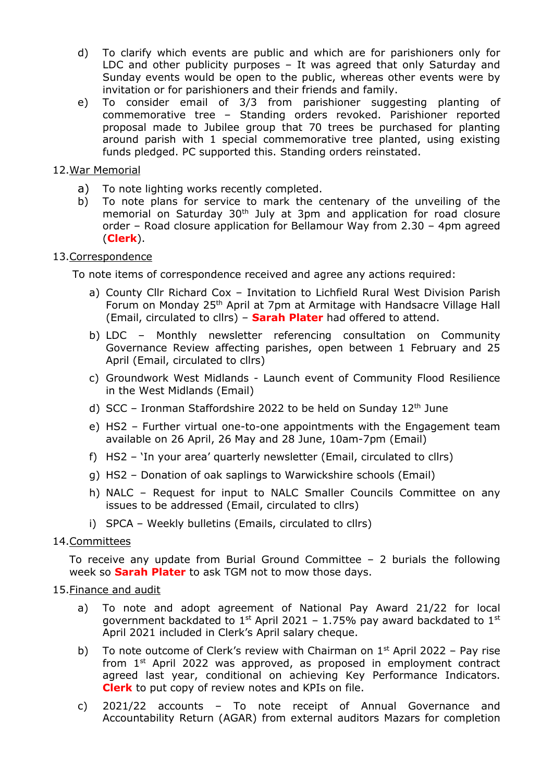- d) To clarify which events are public and which are for parishioners only for LDC and other publicity purposes – It was agreed that only Saturday and Sunday events would be open to the public, whereas other events were by invitation or for parishioners and their friends and family.
- e) To consider email of 3/3 from parishioner suggesting planting of commemorative tree – Standing orders revoked. Parishioner reported proposal made to Jubilee group that 70 trees be purchased for planting around parish with 1 special commemorative tree planted, using existing funds pledged. PC supported this. Standing orders reinstated.

### 12.War Memorial

- a) To note lighting works recently completed.
- b) To note plans for service to mark the centenary of the unveiling of the memorial on Saturday 30<sup>th</sup> July at 3pm and application for road closure order – Road closure application for Bellamour Way from 2.30 – 4pm agreed (**Clerk**).

### 13.Correspondence

To note items of correspondence received and agree any actions required:

- a) County Cllr Richard Cox Invitation to Lichfield Rural West Division Parish Forum on Monday 25th April at 7pm at Armitage with Handsacre Village Hall (Email, circulated to cllrs) – **Sarah Plater** had offered to attend.
- b) LDC Monthly newsletter referencing consultation on Community Governance Review affecting parishes, open between 1 February and 25 April (Email, circulated to cllrs)
- c) Groundwork West Midlands Launch event of Community Flood Resilience in the West Midlands (Email)
- d) SCC Ironman Staffordshire 2022 to be held on Sunday  $12<sup>th</sup>$  June
- e) HS2 Further virtual one-to-one appointments with the Engagement team available on 26 April, 26 May and 28 June, 10am-7pm (Email)
- f) HS2 'In your area' quarterly newsletter (Email, circulated to cllrs)
- g) HS2 Donation of oak saplings to Warwickshire schools (Email)
- h) NALC Request for input to NALC Smaller Councils Committee on any issues to be addressed (Email, circulated to cllrs)
- i) SPCA Weekly bulletins (Emails, circulated to cllrs)

#### 14.Committees

To receive any update from Burial Ground Committee – 2 burials the following week so **Sarah Plater** to ask TGM not to mow those days.

#### 15.Finance and audit

- a) To note and adopt agreement of National Pay Award 21/22 for local government backdated to  $1^{st}$  April 2021 - 1.75% pay award backdated to  $1^{st}$ April 2021 included in Clerk's April salary cheque.
- b) To note outcome of Clerk's review with Chairman on  $1<sup>st</sup>$  April 2022 Pay rise from 1<sup>st</sup> April 2022 was approved, as proposed in employment contract agreed last year, conditional on achieving Key Performance Indicators. **Clerk** to put copy of review notes and KPIs on file.
- c) 2021/22 accounts To note receipt of Annual Governance and Accountability Return (AGAR) from external auditors Mazars for completion